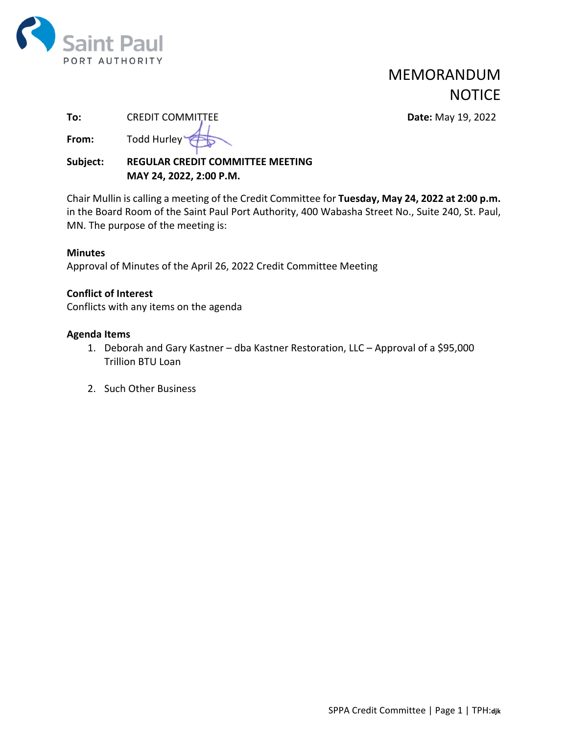

# PORT AUTHORITY MEMORANDUM **NOTICE**

**Date:** May 19, 2022

| To:   | <b>CREDIT COMMITTEE</b> |
|-------|-------------------------|
| From: | Todd Hurley             |

**Subject: REGULAR CREDIT COMMITTEE MEETING MAY 24, 2022, 2:00 P.M.** 

Chair Mullin is calling a meeting of the Credit Committee for **Tuesday, May 24, 2022 at 2:00 p.m.** in the Board Room of the Saint Paul Port Authority, 400 Wabasha Street No., Suite 240, St. Paul, MN. The purpose of the meeting is:

### **Minutes**

Approval of Minutes of the April 26, 2022 Credit Committee Meeting

### **Conflict of Interest**

Conflicts with any items on the agenda

### **Agenda Items**

- 1. Deborah and Gary Kastner dba Kastner Restoration, LLC Approval of a \$95,000 Trillion BTU Loan
- 2. Such Other Business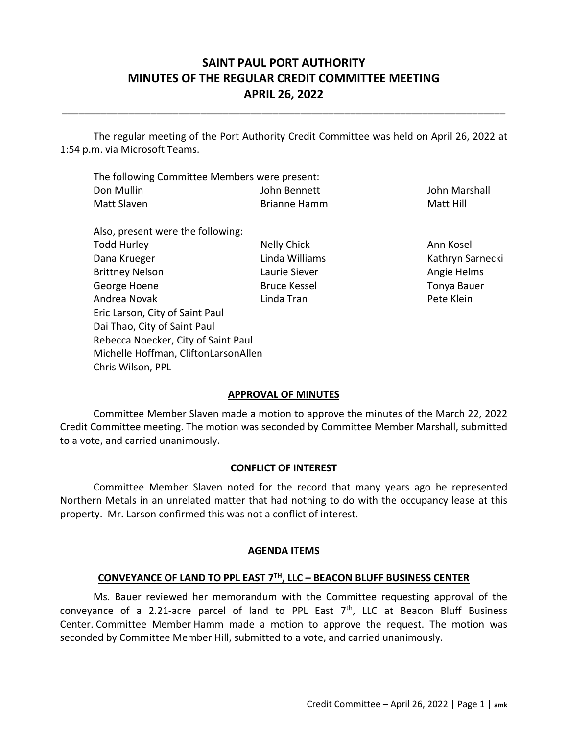### **SAINT PAUL PORT AUTHORITY MINUTES OF THE REGULAR CREDIT COMMITTEE MEETING APRIL 26, 2022**

\_\_\_\_\_\_\_\_\_\_\_\_\_\_\_\_\_\_\_\_\_\_\_\_\_\_\_\_\_\_\_\_\_\_\_\_\_\_\_\_\_\_\_\_\_\_\_\_\_\_\_\_\_\_\_\_\_\_\_\_\_\_\_\_\_\_\_\_\_\_\_\_\_\_\_\_\_\_\_\_

 The regular meeting of the Port Authority Credit Committee was held on April 26, 2022 at 1:54 p.m. via Microsoft Teams.

| The following Committee Members were present: |              |               |  |
|-----------------------------------------------|--------------|---------------|--|
| Don Mullin                                    | John Bennett | John Marshall |  |
| Matt Slaven                                   | Brianne Hamm | Matt Hill     |  |

| Also, present were the following:    |                     |            |
|--------------------------------------|---------------------|------------|
| <b>Todd Hurley</b>                   | Nelly Chick         | Ann Kosel  |
| Dana Krueger                         | Linda Williams      | Kathryn Sa |
| <b>Brittney Nelson</b>               | Laurie Siever       | Angie Heli |
| George Hoene                         | <b>Bruce Kessel</b> | Tonya Bau  |
| Andrea Novak                         | Linda Tran          | Pete Klein |
| Eric Larson, City of Saint Paul      |                     |            |
| Dai Thao, City of Saint Paul         |                     |            |
| Rebecca Noecker, City of Saint Paul  |                     |            |
| Michelle Hoffman, CliftonLarsonAllen |                     |            |
| Chris Wilson, PPL                    |                     |            |

Kathryn Sarnecki Angie Helms Tonya Bauer

### **APPROVAL OF MINUTES**

Committee Member Slaven made a motion to approve the minutes of the March 22, 2022 Credit Committee meeting. The motion was seconded by Committee Member Marshall, submitted to a vote, and carried unanimously.

#### **CONFLICT OF INTEREST**

Committee Member Slaven noted for the record that many years ago he represented Northern Metals in an unrelated matter that had nothing to do with the occupancy lease at this property. Mr. Larson confirmed this was not a conflict of interest.

### **AGENDA ITEMS**

#### **CONVEYANCE OF LAND TO PPL EAST 7TH, LLC – BEACON BLUFF BUSINESS CENTER**

Ms. Bauer reviewed her memorandum with the Committee requesting approval of the conveyance of a 2.21-acre parcel of land to PPL East  $7<sup>th</sup>$ , LLC at Beacon Bluff Business Center. Committee Member Hamm made a motion to approve the request. The motion was seconded by Committee Member Hill, submitted to a vote, and carried unanimously.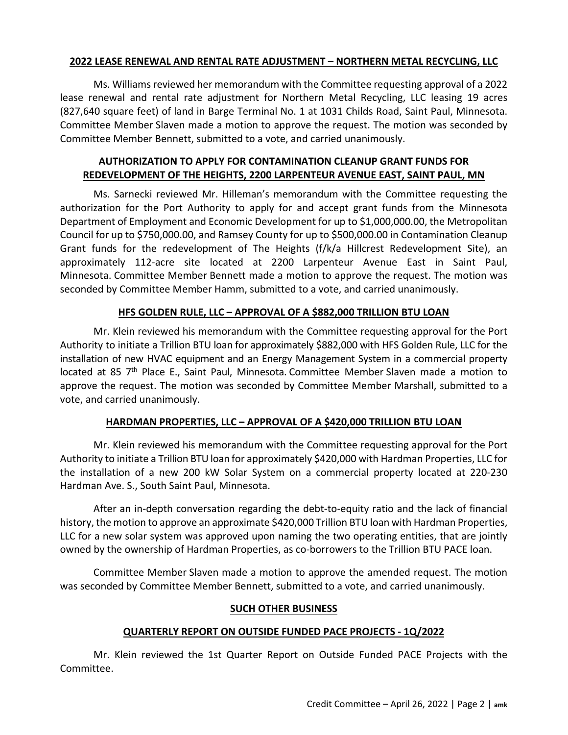### **2022 LEASE RENEWAL AND RENTAL RATE ADJUSTMENT – NORTHERN METAL RECYCLING, LLC**

Ms. Williams reviewed her memorandum with the Committee requesting approval of a 2022 lease renewal and rental rate adjustment for Northern Metal Recycling, LLC leasing 19 acres (827,640 square feet) of land in Barge Terminal No. 1 at 1031 Childs Road, Saint Paul, Minnesota. Committee Member Slaven made a motion to approve the request. The motion was seconded by Committee Member Bennett, submitted to a vote, and carried unanimously.

### **AUTHORIZATION TO APPLY FOR CONTAMINATION CLEANUP GRANT FUNDS FOR REDEVELOPMENT OF THE HEIGHTS, 2200 LARPENTEUR AVENUE EAST, SAINT PAUL, MN**

Ms. Sarnecki reviewed Mr. Hilleman's memorandum with the Committee requesting the authorization for the Port Authority to apply for and accept grant funds from the Minnesota Department of Employment and Economic Development for up to \$1,000,000.00, the Metropolitan Council for up to \$750,000.00, and Ramsey County for up to \$500,000.00 in Contamination Cleanup Grant funds for the redevelopment of The Heights (f/k/a Hillcrest Redevelopment Site), an approximately 112‐acre site located at 2200 Larpenteur Avenue East in Saint Paul, Minnesota. Committee Member Bennett made a motion to approve the request. The motion was seconded by Committee Member Hamm, submitted to a vote, and carried unanimously.

### **HFS GOLDEN RULE, LLC – APPROVAL OF A \$882,000 TRILLION BTU LOAN**

Mr. Klein reviewed his memorandum with the Committee requesting approval for the Port Authority to initiate a Trillion BTU loan for approximately \$882,000 with HFS Golden Rule, LLC for the installation of new HVAC equipment and an Energy Management System in a commercial property located at 85 7<sup>th</sup> Place E., Saint Paul, Minnesota. Committee Member Slaven made a motion to approve the request. The motion was seconded by Committee Member Marshall, submitted to a vote, and carried unanimously.

### **HARDMAN PROPERTIES, LLC – APPROVAL OF A \$420,000 TRILLION BTU LOAN**

Mr. Klein reviewed his memorandum with the Committee requesting approval for the Port Authority to initiate a Trillion BTU loan for approximately \$420,000 with Hardman Properties, LLC for the installation of a new 200 kW Solar System on a commercial property located at 220‐230 Hardman Ave. S., South Saint Paul, Minnesota.

After an in‐depth conversation regarding the debt‐to‐equity ratio and the lack of financial history, the motion to approve an approximate \$420,000 Trillion BTU loan with Hardman Properties, LLC for a new solar system was approved upon naming the two operating entities, that are jointly owned by the ownership of Hardman Properties, as co‐borrowers to the Trillion BTU PACE loan.

Committee Member Slaven made a motion to approve the amended request. The motion was seconded by Committee Member Bennett, submitted to a vote, and carried unanimously.

### **SUCH OTHER BUSINESS**

### **QUARTERLY REPORT ON OUTSIDE FUNDED PACE PROJECTS ‐ 1Q/2022**

Mr. Klein reviewed the 1st Quarter Report on Outside Funded PACE Projects with the Committee.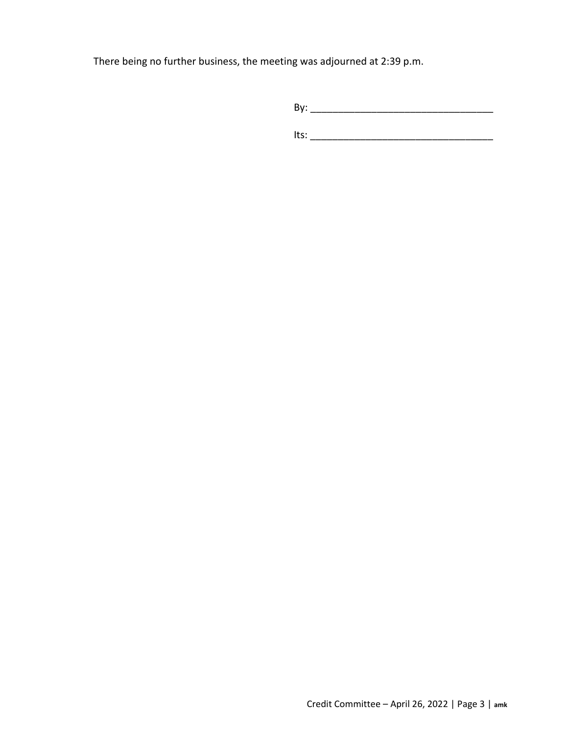There being no further business, the meeting was adjourned at 2:39 p.m.

By: \_\_\_\_\_\_\_\_\_\_\_\_\_\_\_\_\_\_\_\_\_\_\_\_\_\_\_\_\_\_\_\_\_

Its: \_\_\_\_\_\_\_\_\_\_\_\_\_\_\_\_\_\_\_\_\_\_\_\_\_\_\_\_\_\_\_\_\_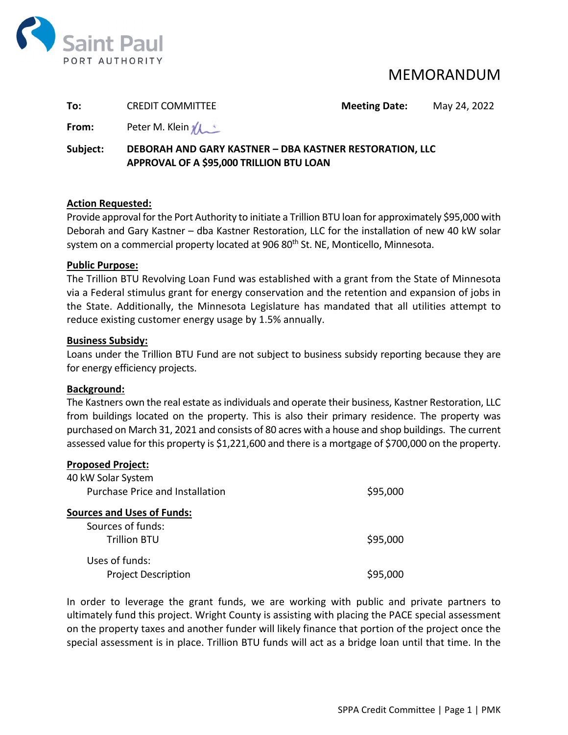

### MEMORANDUM

| To:      | <b>CREDIT COMMITTEE</b>                                | <b>Meeting Date:</b> | May 24, 2022 |
|----------|--------------------------------------------------------|----------------------|--------------|
| From:    | Peter M. Klein <i>M</i>                                |                      |              |
| Subjoct: | DERODALLAND GARY KASTNER - DRA KASTNER RESTORATION TIC |                      |              |

### **Subject: DEBORAH AND GARY KASTNER – DBA KASTNER RESTORATION, LLC APPROVAL OF A \$95,000 TRILLION BTU LOAN**

### **Action Requested:**

Provide approval forthe Port Authority to initiate a Trillion BTU loan for approximately \$95,000 with Deborah and Gary Kastner – dba Kastner Restoration, LLC for the installation of new 40 kW solar system on a commercial property located at 906 80<sup>th</sup> St. NE, Monticello, Minnesota.

### **Public Purpose:**

The Trillion BTU Revolving Loan Fund was established with a grant from the State of Minnesota via a Federal stimulus grant for energy conservation and the retention and expansion of jobs in the State. Additionally, the Minnesota Legislature has mandated that all utilities attempt to reduce existing customer energy usage by 1.5% annually.

### **Business Subsidy:**

Loans under the Trillion BTU Fund are not subject to business subsidy reporting because they are for energy efficiency projects.

### **Background:**

The Kastners own the real estate as individuals and operate their business, Kastner Restoration, LLC from buildings located on the property. This is also their primary residence. The property was purchased on March 31, 2021 and consists of 80 acres with a house and shop buildings. The current assessed value for this property is \$1,221,600 and there is a mortgage of \$700,000 on the property.

### **Proposed Project:**

| 40 kW Solar System                     |          |
|----------------------------------------|----------|
| <b>Purchase Price and Installation</b> | \$95,000 |
| <b>Sources and Uses of Funds:</b>      |          |
| Sources of funds:                      |          |
| <b>Trillion BTU</b>                    | \$95,000 |
| Uses of funds:                         |          |
| <b>Project Description</b>             | \$95,000 |

In order to leverage the grant funds, we are working with public and private partners to ultimately fund this project. Wright County is assisting with placing the PACE special assessment on the property taxes and another funder will likely finance that portion of the project once the special assessment is in place. Trillion BTU funds will act as a bridge loan until that time. In the